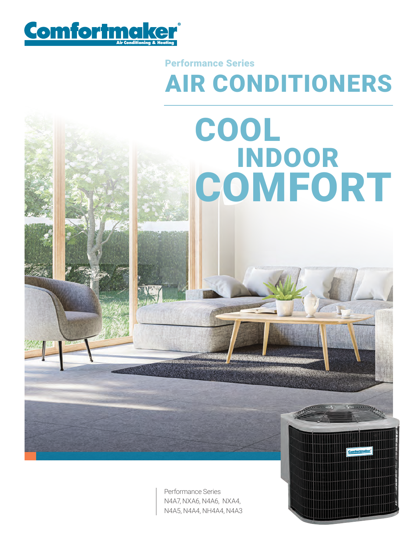

## AIR CONDITIONERS Performance Series

INDOOR

**COMFORT** 

COOL

Performance Series N4A7, NXA6, N4A6, NXA4, N4A5, N4A4, NH4A4, N4A3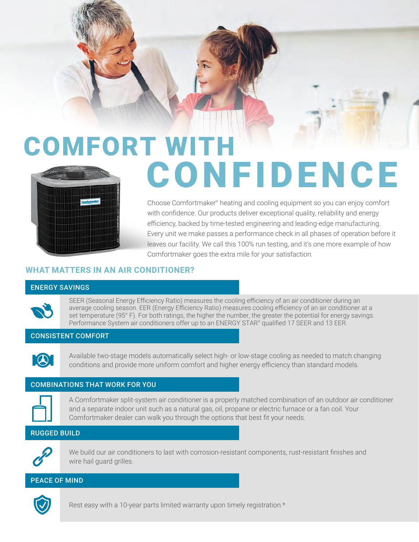# COMFORT WITH CONFIDENCE

Choose Comfortmaker<sup>®</sup> heating and cooling equipment so you can enjoy comfort with confidence. Our products deliver exceptional quality, reliability and energy efficiency, backed by time-tested engineering and leading-edge manufacturing. Every unit we make passes a performance check in all phases of operation before it leaves our facility. We call this 100% run testing, and it's one more example of how Comfortmaker goes the extra mile for your satisfaction.

#### **WHAT MATTERS IN AN AIR CONDITIONER?**

#### ENERGY SAVINGS

SEER (Seasonal Energy Efficiency Ratio) measures the cooling efficiency of an air conditioner during an average cooling season. EER (Energy Efficiency Ratio) measures cooling efficiency of an air conditioner at a set temperature (95° F). For both ratings, the higher the number, the greater the potential for energy savings. Performance System air conditioners offer up to an ENERGY STAR® qualified 17 SEER and 13 EER.

#### CONSISTENT COMFORT



Available two-stage models automatically select high- or low-stage cooling as needed to match changing conditions and provide more uniform comfort and higher energy efficiency than standard models.

#### COMBINATIONS THAT WORK FOR YOU



A Comfortmaker split-system air conditioner is a properly matched combination of an outdoor air conditioner and a separate indoor unit such as a natural gas, oil, propane or electric furnace or a fan coil. Your Comfortmaker dealer can walk you through the options that best fit your needs.

#### RUGGED BUILD



We build our air conditioners to last with corrosion-resistant components, rust-resistant finishes and wire hail guard grilles.

#### PEACE OF MIND



Rest easy with a 10-year parts limited warranty upon timely registration.\*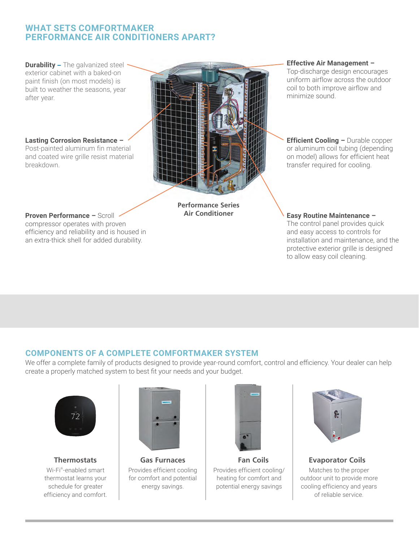### **WHAT SETS COMFORTMAKER PERFORMANCE AIR CONDITIONERS APART?**

**Durability** – The galvanized steel exterior cabinet with a baked-on paint finish (on most models) is built to weather the seasons, year after year.

**Lasting Corrosion Resistance –**  Post-painted aluminum fin material

and coated wire grille resist material breakdown.

**Proven Performance –** Scroll compressor operates with proven efficiency and reliability and is housed in an extra-thick shell for added durability.

**Performance Series Air Conditioner**

#### **Effective Air Management –**

Top-discharge design encourages uniform airflow across the outdoor coil to both improve airflow and minimize sound.

**Efficient Cooling - Durable copper** or aluminum coil tubing (depending on model) allows for efficient heat transfer required for cooling.

#### **Easy Routine Maintenance –**

The control panel provides quick and easy access to controls for installation and maintenance, and the protective exterior grille is designed to allow easy coil cleaning.

### **COMPONENTS OF A COMPLETE COMFORTMAKER SYSTEM**

We offer a complete family of products designed to provide year-round comfort, control and efficiency. Your dealer can help create a properly matched system to best fit your needs and your budget.



Wi-Fi® -enabled smart thermostat learns your schedule for greater efficiency and comfort.



Provides efficient cooling for comfort and potential energy savings.



**Thermostats Gas Furnaces Fan Coils Evaporator Coils** Provides efficient cooling/ heating for comfort and potential energy savings



Matches to the proper outdoor unit to provide more cooling efficiency and years of reliable service.